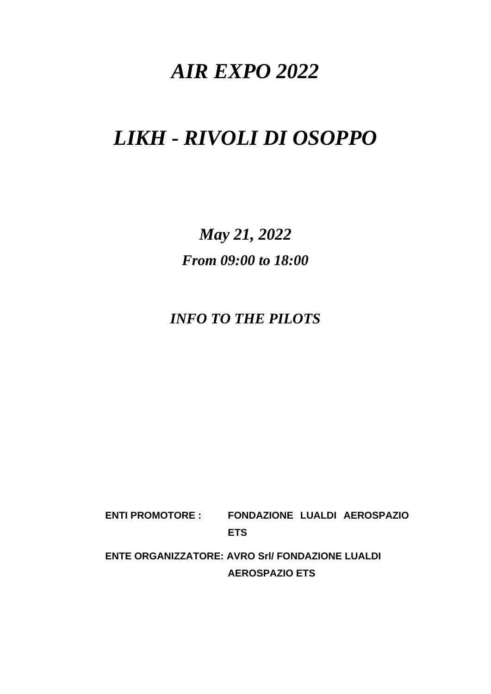# *AIR EXPO 2022*

# *LIKH - RIVOLI DI OSOPPO*

*May 21, 2022 From 09:00 to 18:00*

*INFO TO THE PILOTS*

**ENTI PROMOTORE : FONDAZIONE LUALDI AEROSPAZIO ETS**

**ENTE ORGANIZZATORE: AVRO Srl/ FONDAZIONE LUALDI AEROSPAZIO ETS**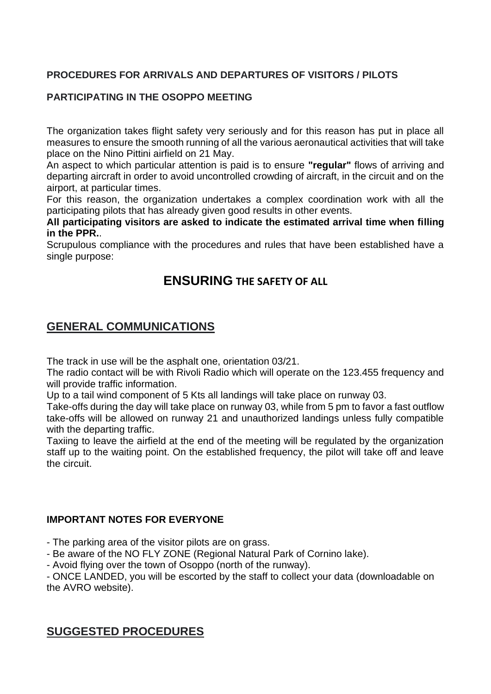### **PROCEDURES FOR ARRIVALS AND DEPARTURES OF VISITORS / PILOTS**

#### **PARTICIPATING IN THE OSOPPO MEETING**

The organization takes flight safety very seriously and for this reason has put in place all measures to ensure the smooth running of all the various aeronautical activities that will take place on the Nino Pittini airfield on 21 May.

An aspect to which particular attention is paid is to ensure **"regular"** flows of arriving and departing aircraft in order to avoid uncontrolled crowding of aircraft, in the circuit and on the airport, at particular times.

For this reason, the organization undertakes a complex coordination work with all the participating pilots that has already given good results in other events.

**All participating visitors are asked to indicate the estimated arrival time when filling in the PPR.**.

Scrupulous compliance with the procedures and rules that have been established have a single purpose:

## **ENSURING THE SAFETY OF ALL**

## **GENERAL COMMUNICATIONS**

The track in use will be the asphalt one, orientation 03/21.

The radio contact will be with Rivoli Radio which will operate on the 123.455 frequency and will provide traffic information.

Up to a tail wind component of 5 Kts all landings will take place on runway 03.

Take-offs during the day will take place on runway 03, while from 5 pm to favor a fast outflow take-offs will be allowed on runway 21 and unauthorized landings unless fully compatible with the departing traffic.

Taxiing to leave the airfield at the end of the meeting will be regulated by the organization staff up to the waiting point. On the established frequency, the pilot will take off and leave the circuit.

#### **IMPORTANT NOTES FOR EVERYONE**

- The parking area of the visitor pilots are on grass.

- Be aware of the NO FLY ZONE (Regional Natural Park of Cornino lake).

- Avoid flying over the town of Osoppo (north of the runway).

- ONCE LANDED, you will be escorted by the staff to collect your data (downloadable on the AVRO website).

## **SUGGESTED PROCEDURES**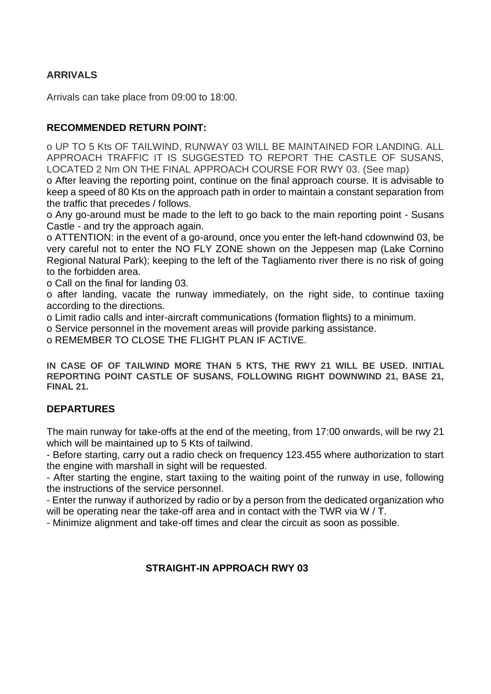### **ARRIVALS**

Arrivals can take place from 09:00 to 18:00.

#### **RECOMMENDED RETURN POINT:**

o UP TO 5 Kts OF TAILWIND, RUNWAY 03 WILL BE MAINTAINED FOR LANDING. ALL APPROACH TRAFFIC IT IS SUGGESTED TO REPORT THE CASTLE OF SUSANS, LOCATED 2 Nm ON THE FINAL APPROACH COURSE FOR RWY 03. (See map)

o After leaving the reporting point, continue on the final approach course. It is advisable to keep a speed of 80 Kts on the approach path in order to maintain a constant separation from the traffic that precedes / follows.

o Any go-around must be made to the left to go back to the main reporting point - Susans Castle - and try the approach again.

o ATTENTION: in the event of a go-around, once you enter the left-hand cdownwind 03, be very careful not to enter the NO FLY ZONE shown on the Jeppesen map (Lake Cornino Regional Natural Park); keeping to the left of the Tagliamento river there is no risk of going to the forbidden area.

o Call on the final for landing 03.

o after landing, vacate the runway immediately, on the right side, to continue taxiing according to the directions.

o Limit radio calls and inter-aircraft communications (formation flights) to a minimum.

o Service personnel in the movement areas will provide parking assistance.

o REMEMBER TO CLOSE THE FLIGHT PLAN IF ACTIVE.

**IN CASE OF OF TAILWIND MORE THAN 5 KTS, THE RWY 21 WILL BE USED. INITIAL REPORTING POINT CASTLE OF SUSANS, FOLLOWING RIGHT DOWNWIND 21, BASE 21, FINAL 21.**

#### **DEPARTURES**

The main runway for take-offs at the end of the meeting, from 17:00 onwards, will be rwy 21 which will be maintained up to 5 Kts of tailwind.

- Before starting, carry out a radio check on frequency 123.455 where authorization to start the engine with marshall in sight will be requested.

- After starting the engine, start taxiing to the waiting point of the runway in use, following the instructions of the service personnel.

- Enter the runway if authorized by radio or by a person from the dedicated organization who will be operating near the take-off area and in contact with the TWR via W / T.

- Minimize alignment and take-off times and clear the circuit as soon as possible.

#### **STRAIGHT-IN APPROACH RWY 03**